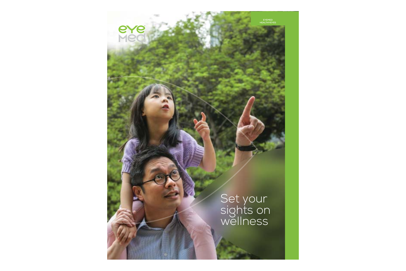**SAGC** 

# Set your sights on<br>wellness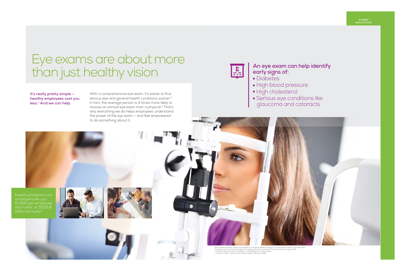With a comprehensive eye exam, it's easier to find serious eye and general health conditions sooner.<sup>3</sup> In fact, the average person is 4 times more likely to receive an annual eye exam than a physical.4 That's why everything we do helps employees understand the power of the eye exam – and feel empowered



# Eye exams are about more than just healthy vision



**It's really pretty simple healthy employees cost you less.1 And we can help.**

## **An eye exam can help identify early signs of:**

- Diabetes
- High blood pressure
- High cholesterol
- Serious eye conditions like glaucoma and cataracts

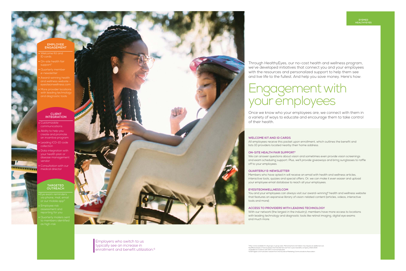May not be available for all groups or group sizes. Mail and phone reminders may require an additional cost <sup>6</sup> EyeMed analysis of new business that transferred over from a prior benefits company, 2013-2014 7 Available for locations with 200 or more employees. 8 2014 digital communication award from the Insurance Marketing Communications Association.

## **WELCOME KIT AND ID CARDS**

All employees receive this packet upon enrollment, which outlines the benefit and lists 10 providers located nearby their home address.

## **ON-SITE HEALTH FAIR SUPPORT7**

You and your employees can always visit our award-winning<sup>8</sup> health and wellness website that features an expansive library of vision-related content (articles, videos, interactive tools and more).

We can answer questions about vision and sometimes even provide vision screenings and exam scheduling support. Plus, we'll provide giveaways and bring sunglasses to raffle off to your employees.

## **QUARTERLY E-NEWSLETTER**

Members who have opted in will receive an email with health and wellness articles, interactive tools, quizzes and special offers. Or, we can make it even easier and upload your employee email database to reach all your employees.

Employers who switch to us typically see an increase in enrollment and benefit utilization.<sup>6</sup>

## **EYESITEONWELLNESS.COM**

## **ACCESS TO PROVIDERS WITH LEADING TECHNOLOGY**

With our network (the largest in the industry), members have more access to locations with leading technology and diagnostic tools like retinal imaging, digital eye exams and much more.

Through HealthyEyes, our no-cost health and wellness program, we've developed initiatives that connect you and your employees with the resources and personalized support to help them see and live life to the fullest. And help you save money. Here's how:

Once we know who your employees are, we connect with them in a variety of ways to educate and encourage them to take control of their health.

# Engagement with your employees

- Welcome Kit and ID cards
- On-site health fair support<sup>7</sup>
- **Quarterly member** e-newsletter
- 
- with leading technology and diagnostic tools

- Customizable communications
- Ability to help you create and promote an incentive program
- Leading ICD-10 code collection
- Data integration with your health plan or disease management vendor

■ Consultation with our medical director

- Eye exam reminders via phone, mail, email or our mobile app<sup>5</sup>
- 
- to members identified



## **EMPLOYEE ENGAGEMENT**

### **CLIENTINTEGRATION**

## **TARGETED OUTREACH**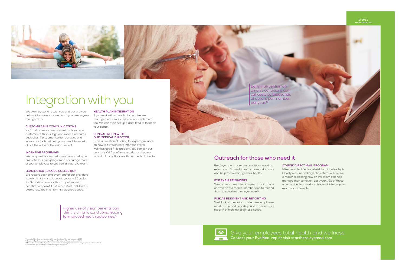Ordering contacts online just got easier, too.

them shipped free of charge as soon as the

We can reach members by email, mail, phone or even on our mobile member app to remind them to schedule their eye exam.<sup>11</sup>

We'll look at the data to determine employees most at-risk and provide you with a summary report<sup>12</sup> of high-risk diagnosis codes.

Employees with complex conditions need an extra push. So, we'll identify those individuals and help them manage their health.

### **EYE EXAM REMINDERS**

You'll get access to web-based tools you can customize with your logo and more. Brochures, CONSULTATION WITH buck-slips, fliers, email content, articles and ity all **OUR MEDICAL DIRECTOR** and the means of the means of the me interactive tools will help you spread the word Have a question'? Looking for expert <sub>!</sub> about the value of the vision benefit.

## **INCENTIVE PROGRAMS**

We can provide low-cost incentives or help you promote your own program to encourage more of your employees to get their annual eye exam.

### **LEADING ICD-10 CODE COLLECTION**

### **RISK ASSESSMENT AND REPORTING**

We require each and every one of our providers to submit high-risk diagnosis codes — 75 codes for 8 conditions (more than any other vision exams resulted in a high-risk diagnosis code. benefits company). Last year, 8% of EyeMed eye

## **AT-RISK DIRECT MAIL PROGRAM**

Members identified as at-risk for diabetes, high blood pressure and high cholesterol will receive a mailer explaining how an eye exam can help manage their condition. Last year, 15% of those who received our mailer scheduled follow-up eye exam appointments.

Early intervention on chronic conditions can cut costs by thousands of dollars per member, per year.<sup>10</sup>

 $\bullet$ Give your employees total health and wellness

Buying online isn't just for clothes and gadgets anymore. Because online purchases of **CUSTOMIZABLE COMMUNICATIONS**If you work with a health plan or disease management vendor, we can work with them, too. We can even set up a data feed to them on your behalf.

**EYEMED HEALTHYEYES**



# Integration with you

We start by working with you and our provider network to make sure we reach your employees the right way.

**HEALTH PLAN INTEGRATION**

## **CONSULTATION WITH OUR MEDICAL DIRECTOR**

Have a question? Looking for expert guidance on how to fit vision care into your overall wellness goals? No problem. You can join our quarterly Q&A conference calls or set up an individual consultation with our medical director.

**Prescription is verified (typically same day).** Higher use of vision benefits can identify chronic conditions, leading to improved health outcomes.<sup>9</sup>

® "Impact of Eye Exams in Identifying Chronic Conditions," UnitedHealthcare, 2014.<br>® "Impact of Eye Exams in Identifying Chronic Conditions," UnitedHealthcare, 2014.<br>"I May not be available for all groups or group sizes. M

## **Outreach for those who need it**

**Contact your EyeMed rep or visit starthere.eyemed.com**